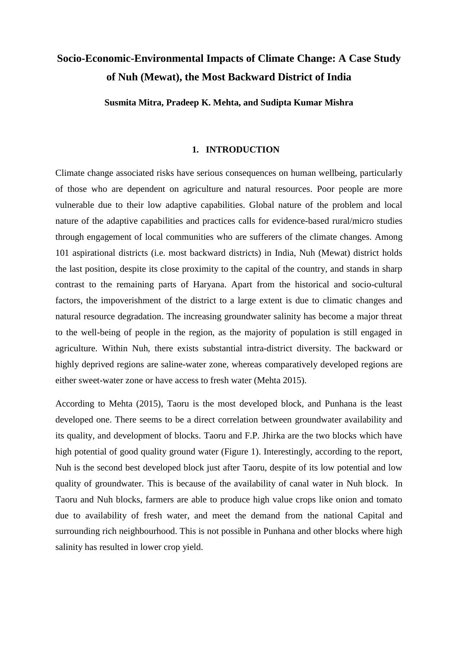# **Socio-Economic-Environmental Impacts of Climate Change: A Case Study of Nuh (Mewat), the Most Backward District of India**

**Susmita Mitra, Pradeep K. Mehta, and Sudipta Kumar Mishra**

#### **1. INTRODUCTION**

Climate change associated risks have serious consequences on human wellbeing, particularly of those who are dependent on agriculture and natural resources. Poor people are more vulnerable due to their low adaptive capabilities. Global nature of the problem and local nature of the adaptive capabilities and practices calls for evidence-based rural/micro studies through engagement of local communities who are sufferers of the climate changes. Among 101 aspirational districts (i.e. most backward districts) in India, Nuh (Mewat) district holds the last position, despite its close proximity to the capital of the country, and stands in sharp contrast to the remaining parts of Haryana. Apart from the historical and socio-cultural factors, the impoverishment of the district to a large extent is due to climatic changes and natural resource degradation. The increasing groundwater salinity has become a major threat to the well-being of people in the region, as the majority of population is still engaged in agriculture. Within Nuh, there exists substantial intra-district diversity. The backward or highly deprived regions are saline-water zone, whereas comparatively developed regions are either sweet-water zone or have access to fresh water (Mehta 2015).

According to Mehta (2015), Taoru is the most developed block, and Punhana is the least developed one. There seems to be a direct correlation between groundwater availability and its quality, and development of blocks. Taoru and F.P. Jhirka are the two blocks which have high potential of good quality ground water (Figure 1). Interestingly, according to the report, Nuh is the second best developed block just after Taoru, despite of its low potential and low quality of groundwater. This is because of the availability of canal water in Nuh block. In Taoru and Nuh blocks, farmers are able to produce high value crops like onion and tomato due to availability of fresh water, and meet the demand from the national Capital and surrounding rich neighbourhood. This is not possible in Punhana and other blocks where high salinity has resulted in lower crop yield.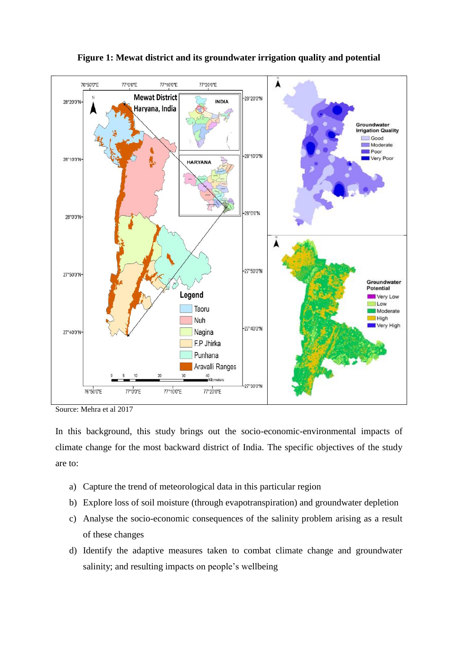

**Figure 1: Mewat district and its groundwater irrigation quality and potential**

In this background, this study brings out the socio-economic-environmental impacts of climate change for the most backward district of India. The specific objectives of the study are to:

- a) Capture the trend of meteorological data in this particular region
- b) Explore loss of soil moisture (through evapotranspiration) and groundwater depletion
- c) Analyse the socio-economic consequences of the salinity problem arising as a result of these changes
- d) Identify the adaptive measures taken to combat climate change and groundwater salinity; and resulting impacts on people's wellbeing

Source: Mehra et al 2017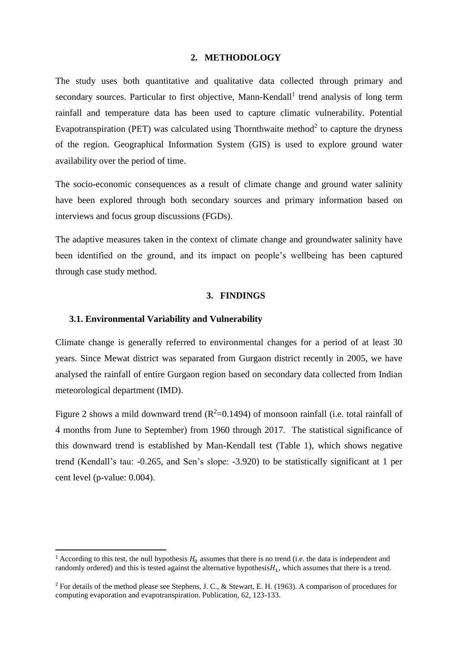#### **2. METHODOLOGY**

The study uses both quantitative and qualitative data collected through primary and secondary sources. Particular to first objective, Mann-Kendall<sup>1</sup> trend analysis of long term rainfall and temperature data has been used to capture climatic vulnerability. Potential Evapotranspiration (PET) was calculated using Thornthwaite method<sup>2</sup> to capture the dryness of the region. Geographical Information System (GIS) is used to explore ground water availability over the period of time.

The socio-economic consequences as a result of climate change and ground water salinity have been explored through both secondary sources and primary information based on interviews and focus group discussions (FGDs).

The adaptive measures taken in the context of climate change and groundwater salinity have been identified on the ground, and its impact on people's wellbeing has been captured through case study method.

#### **3. FINDINGS**

#### **3.1. Environmental Variability and Vulnerability**

**.** 

Climate change is generally referred to environmental changes for a period of at least 30 years. Since Mewat district was separated from Gurgaon district recently in 2005, we have analysed the rainfall of entire Gurgaon region based on secondary data collected from Indian meteorological department (IMD).

Figure 2 shows a mild downward trend  $(R^2=0.1494)$  of monsoon rainfall (i.e. total rainfall of 4 months from June to September) from 1960 through 2017. The statistical significance of this downward trend is established by Man-Kendall test (Table 1), which shows negative trend (Kendall's tau: -0.265, and Sen's slope: -3.920) to be statistically significant at 1 per cent level (p-value: 0.004).

<sup>&</sup>lt;sup>1</sup> According to this test, the null hypothesis  $H_0$  assumes that there is no trend (i.e. the data is independent and randomly ordered) and this is tested against the alternative hypothesis $H_1$ , which assumes that there is a trend.

<sup>&</sup>lt;sup>2</sup> For details of the method please see Stephens, J. C., & Stewart, E. H. (1963). A comparison of procedures for computing evaporation and evapotranspiration. Publication, 62, 123-133.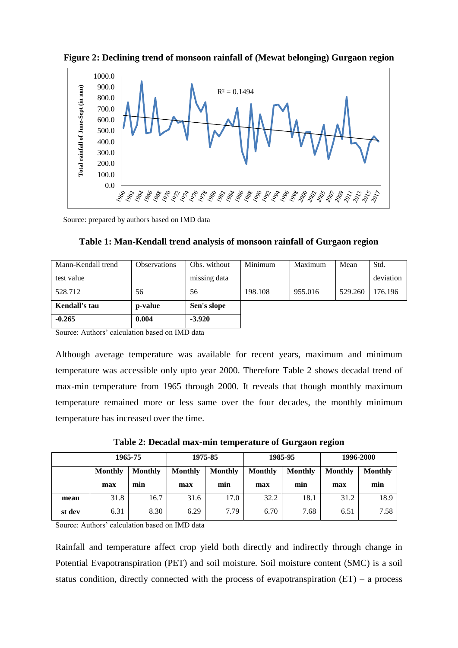



Source: prepared by authors based on IMD data

|  |  |  | Table 1: Man-Kendall trend analysis of monsoon rainfall of Gurgaon region |  |
|--|--|--|---------------------------------------------------------------------------|--|
|  |  |  |                                                                           |  |
|  |  |  |                                                                           |  |

| Mann-Kendall trend<br><b>Observations</b> |         | Obs. without | Minimum | Maximum | Mean    | Std.      |
|-------------------------------------------|---------|--------------|---------|---------|---------|-----------|
| test value                                |         | missing data |         |         |         | deviation |
| 528.712<br>56                             |         | 56           | 198.108 | 955.016 | 529.260 | 176.196   |
| <b>Kendall's tau</b>                      | p-value | Sen's slope  |         |         |         |           |
| $-0.265$                                  | 0.004   | $-3.920$     |         |         |         |           |

Source: Authors' calculation based on IMD data

Although average temperature was available for recent years, maximum and minimum temperature was accessible only upto year 2000. Therefore Table 2 shows decadal trend of max-min temperature from 1965 through 2000. It reveals that though monthly maximum temperature remained more or less same over the four decades, the monthly minimum temperature has increased over the time.

**Table 2: Decadal max-min temperature of Gurgaon region**

|        | 1965-75        |                | 1975-85        |                | 1985-95        |                | 1996-2000      |                |
|--------|----------------|----------------|----------------|----------------|----------------|----------------|----------------|----------------|
|        | <b>Monthly</b> | <b>Monthly</b> | <b>Monthly</b> | <b>Monthly</b> | <b>Monthly</b> | <b>Monthly</b> | <b>Monthly</b> | <b>Monthly</b> |
|        | max            | min            | max            | min            | max            | min            | max            | min            |
| mean   | 31.8           | 16.7           | 31.6           | 17.0           | 32.2           | 18.1           | 31.2           | 18.9           |
| st dev | 6.31           | 8.30           | 6.29           | 7.79           | 6.70           | 7.68           | 6.51           | 7.58           |

Source: Authors' calculation based on IMD data

Rainfall and temperature affect crop yield both directly and indirectly through change in Potential Evapotranspiration (PET) and soil moisture. Soil moisture content (SMC) is a soil status condition, directly connected with the process of evapotranspiration  $(ET)$  – a process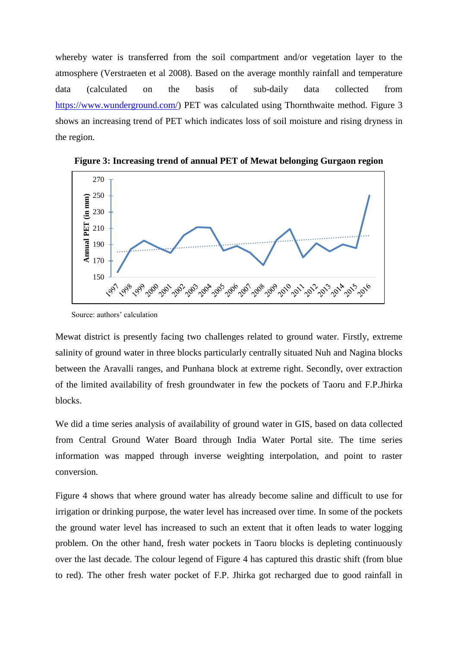whereby water is transferred from the soil compartment and/or vegetation layer to the atmosphere (Verstraeten et al 2008). Based on the average monthly rainfall and temperature data (calculated on the basis of sub-daily data collected from [https://www.wunderground.com/\)](https://www.wunderground.com/) PET was calculated using Thornthwaite method. Figure 3 shows an increasing trend of PET which indicates loss of soil moisture and rising dryness in the region.



**Figure 3: Increasing trend of annual PET of Mewat belonging Gurgaon region**

Mewat district is presently facing two challenges related to ground water. Firstly, extreme salinity of ground water in three blocks particularly centrally situated Nuh and Nagina blocks between the Aravalli ranges, and Punhana block at extreme right. Secondly, over extraction of the limited availability of fresh groundwater in few the pockets of Taoru and F.P.Jhirka blocks.

We did a time series analysis of availability of ground water in GIS, based on data collected from Central Ground Water Board through India Water Portal site. The time series information was mapped through inverse weighting interpolation, and point to raster conversion.

Figure 4 shows that where ground water has already become saline and difficult to use for irrigation or drinking purpose, the water level has increased over time. In some of the pockets the ground water level has increased to such an extent that it often leads to water logging problem. On the other hand, fresh water pockets in Taoru blocks is depleting continuously over the last decade. The colour legend of Figure 4 has captured this drastic shift (from blue to red). The other fresh water pocket of F.P. Jhirka got recharged due to good rainfall in

Source: authors' calculation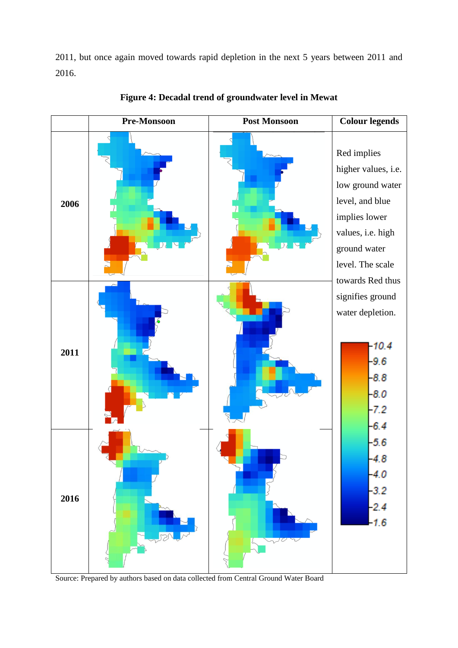2011, but once again moved towards rapid depletion in the next 5 years between 2011 and 2016.



**Figure 4: Decadal trend of groundwater level in Mewat**

Source: Prepared by authors based on data collected from Central Ground Water Board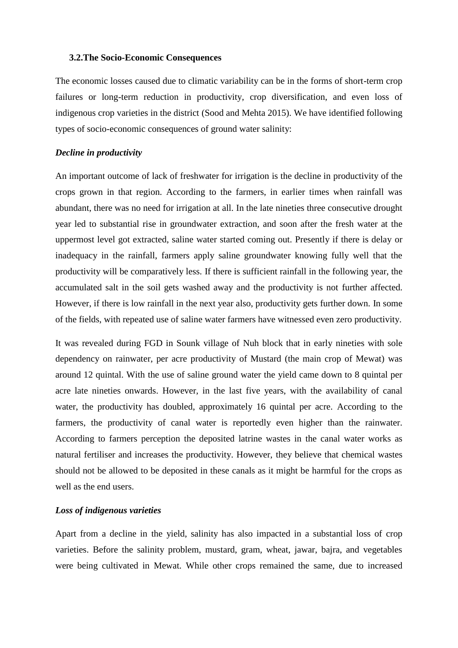#### **3.2.The Socio-Economic Consequences**

The economic losses caused due to climatic variability can be in the forms of short-term crop failures or long-term reduction in productivity, crop diversification, and even loss of indigenous crop varieties in the district (Sood and Mehta 2015). We have identified following types of socio-economic consequences of ground water salinity:

#### *Decline in productivity*

An important outcome of lack of freshwater for irrigation is the decline in productivity of the crops grown in that region. According to the farmers, in earlier times when rainfall was abundant, there was no need for irrigation at all. In the late nineties three consecutive drought year led to substantial rise in groundwater extraction, and soon after the fresh water at the uppermost level got extracted, saline water started coming out. Presently if there is delay or inadequacy in the rainfall, farmers apply saline groundwater knowing fully well that the productivity will be comparatively less. If there is sufficient rainfall in the following year, the accumulated salt in the soil gets washed away and the productivity is not further affected. However, if there is low rainfall in the next year also, productivity gets further down. In some of the fields, with repeated use of saline water farmers have witnessed even zero productivity.

It was revealed during FGD in Sounk village of Nuh block that in early nineties with sole dependency on rainwater, per acre productivity of Mustard (the main crop of Mewat) was around 12 quintal. With the use of saline ground water the yield came down to 8 quintal per acre late nineties onwards. However, in the last five years, with the availability of canal water, the productivity has doubled, approximately 16 quintal per acre. According to the farmers, the productivity of canal water is reportedly even higher than the rainwater. According to farmers perception the deposited latrine wastes in the canal water works as natural fertiliser and increases the productivity. However, they believe that chemical wastes should not be allowed to be deposited in these canals as it might be harmful for the crops as well as the end users.

## *Loss of indigenous varieties*

Apart from a decline in the yield, salinity has also impacted in a substantial loss of crop varieties. Before the salinity problem, mustard, gram, wheat, jawar, bajra, and vegetables were being cultivated in Mewat. While other crops remained the same, due to increased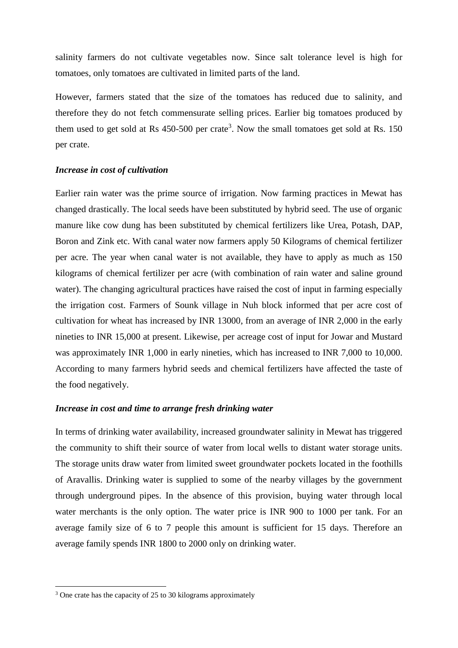salinity farmers do not cultivate vegetables now. Since salt tolerance level is high for tomatoes, only tomatoes are cultivated in limited parts of the land.

However, farmers stated that the size of the tomatoes has reduced due to salinity, and therefore they do not fetch commensurate selling prices. Earlier big tomatoes produced by them used to get sold at Rs  $450-500$  per crate<sup>3</sup>. Now the small tomatoes get sold at Rs. 150 per crate.

#### *Increase in cost of cultivation*

Earlier rain water was the prime source of irrigation. Now farming practices in Mewat has changed drastically. The local seeds have been substituted by hybrid seed. The use of organic manure like cow dung has been substituted by chemical fertilizers like Urea, Potash, DAP, Boron and Zink etc. With canal water now farmers apply 50 Kilograms of chemical fertilizer per acre. The year when canal water is not available, they have to apply as much as 150 kilograms of chemical fertilizer per acre (with combination of rain water and saline ground water). The changing agricultural practices have raised the cost of input in farming especially the irrigation cost. Farmers of Sounk village in Nuh block informed that per acre cost of cultivation for wheat has increased by INR 13000, from an average of INR 2,000 in the early nineties to INR 15,000 at present. Likewise, per acreage cost of input for Jowar and Mustard was approximately INR 1,000 in early nineties, which has increased to INR 7,000 to 10,000. According to many farmers hybrid seeds and chemical fertilizers have affected the taste of the food negatively.

### *Increase in cost and time to arrange fresh drinking water*

In terms of drinking water availability, increased groundwater salinity in Mewat has triggered the community to shift their source of water from local wells to distant water storage units. The storage units draw water from limited sweet groundwater pockets located in the foothills of Aravallis. Drinking water is supplied to some of the nearby villages by the government through underground pipes. In the absence of this provision, buying water through local water merchants is the only option. The water price is INR 900 to 1000 per tank. For an average family size of 6 to 7 people this amount is sufficient for 15 days. Therefore an average family spends INR 1800 to 2000 only on drinking water.

**.** 

<sup>&</sup>lt;sup>3</sup> One crate has the capacity of 25 to 30 kilograms approximately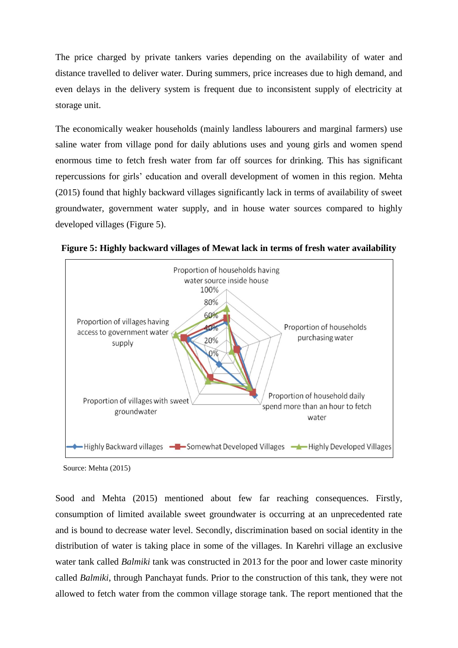The price charged by private tankers varies depending on the availability of water and distance travelled to deliver water. During summers, price increases due to high demand, and even delays in the delivery system is frequent due to inconsistent supply of electricity at storage unit.

The economically weaker households (mainly landless labourers and marginal farmers) use saline water from village pond for daily ablutions uses and young girls and women spend enormous time to fetch fresh water from far off sources for drinking. This has significant repercussions for girls' education and overall development of women in this region. Mehta (2015) found that highly backward villages significantly lack in terms of availability of sweet groundwater, government water supply, and in house water sources compared to highly developed villages (Figure 5).



**Figure 5: Highly backward villages of Mewat lack in terms of fresh water availability**

Source: Mehta (2015)

Sood and Mehta (2015) mentioned about few far reaching consequences. Firstly, consumption of limited available sweet groundwater is occurring at an unprecedented rate and is bound to decrease water level. Secondly, discrimination based on social identity in the distribution of water is taking place in some of the villages. In Karehri village an exclusive water tank called *Balmiki* tank was constructed in 2013 for the poor and lower caste minority called *Balmiki*, through Panchayat funds. Prior to the construction of this tank, they were not allowed to fetch water from the common village storage tank. The report mentioned that the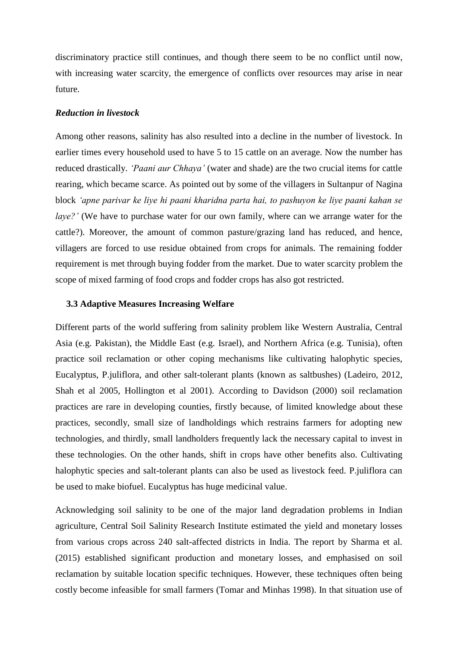discriminatory practice still continues, and though there seem to be no conflict until now, with increasing water scarcity, the emergence of conflicts over resources may arise in near future.

#### *Reduction in livestock*

Among other reasons, salinity has also resulted into a decline in the number of livestock. In earlier times every household used to have 5 to 15 cattle on an average. Now the number has reduced drastically. *'Paani aur Chhaya'* (water and shade) are the two crucial items for cattle rearing, which became scarce. As pointed out by some of the villagers in Sultanpur of Nagina block *'apne parivar ke liye hi paani kharidna parta hai, to pashuyon ke liye paani kahan se laye?'* (We have to purchase water for our own family, where can we arrange water for the cattle?). Moreover, the amount of common pasture/grazing land has reduced, and hence, villagers are forced to use residue obtained from crops for animals. The remaining fodder requirement is met through buying fodder from the market. Due to water scarcity problem the scope of mixed farming of food crops and fodder crops has also got restricted.

#### **3.3 Adaptive Measures Increasing Welfare**

Different parts of the world suffering from salinity problem like Western Australia, Central Asia (e.g. Pakistan), the Middle East (e.g. Israel), and Northern Africa (e.g. Tunisia), often practice soil reclamation or other coping mechanisms like cultivating halophytic species, Eucalyptus, P.juliflora, and other salt-tolerant plants (known as saltbushes) (Ladeiro, 2012, Shah et al 2005, Hollington et al 2001). According to Davidson (2000) soil reclamation practices are rare in developing counties, firstly because, of limited knowledge about these practices, secondly, small size of landholdings which restrains farmers for adopting new technologies, and thirdly, small landholders frequently lack the necessary capital to invest in these technologies. On the other hands, shift in crops have other benefits also. Cultivating halophytic species and salt-tolerant plants can also be used as livestock feed. P.juliflora can be used to make biofuel. Eucalyptus has huge medicinal value.

Acknowledging soil salinity to be one of the major land degradation problems in Indian agriculture, Central Soil Salinity Research Institute estimated the yield and monetary losses from various crops across 240 salt-affected districts in India. The report by Sharma et al. (2015) established significant production and monetary losses, and emphasised on soil reclamation by suitable location specific techniques. However, these techniques often being costly become infeasible for small farmers (Tomar and Minhas 1998). In that situation use of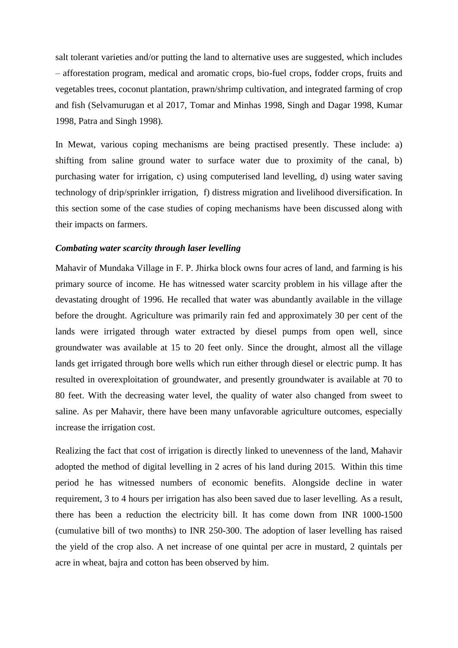salt tolerant varieties and/or putting the land to alternative uses are suggested, which includes – afforestation program, medical and aromatic crops, bio-fuel crops, fodder crops, fruits and vegetables trees, coconut plantation, prawn/shrimp cultivation, and integrated farming of crop and fish (Selvamurugan et al 2017, Tomar and Minhas 1998, Singh and Dagar 1998, Kumar 1998, Patra and Singh 1998).

In Mewat, various coping mechanisms are being practised presently. These include: a) shifting from saline ground water to surface water due to proximity of the canal, b) purchasing water for irrigation, c) using computerised land levelling, d) using water saving technology of drip/sprinkler irrigation, f) distress migration and livelihood diversification. In this section some of the case studies of coping mechanisms have been discussed along with their impacts on farmers.

#### *Combating water scarcity through laser levelling*

Mahavir of Mundaka Village in F. P. Jhirka block owns four acres of land, and farming is his primary source of income. He has witnessed water scarcity problem in his village after the devastating drought of 1996. He recalled that water was abundantly available in the village before the drought. Agriculture was primarily rain fed and approximately 30 per cent of the lands were irrigated through water extracted by diesel pumps from open well, since groundwater was available at 15 to 20 feet only. Since the drought, almost all the village lands get irrigated through bore wells which run either through diesel or electric pump. It has resulted in overexploitation of groundwater, and presently groundwater is available at 70 to 80 feet. With the decreasing water level, the quality of water also changed from sweet to saline. As per Mahavir, there have been many unfavorable agriculture outcomes, especially increase the irrigation cost.

Realizing the fact that cost of irrigation is directly linked to unevenness of the land, Mahavir adopted the method of digital levelling in 2 acres of his land during 2015. Within this time period he has witnessed numbers of economic benefits. Alongside decline in water requirement, 3 to 4 hours per irrigation has also been saved due to laser levelling. As a result, there has been a reduction the electricity bill. It has come down from INR 1000-1500 (cumulative bill of two months) to INR 250-300. The adoption of laser levelling has raised the yield of the crop also. A net increase of one quintal per acre in mustard, 2 quintals per acre in wheat, bajra and cotton has been observed by him.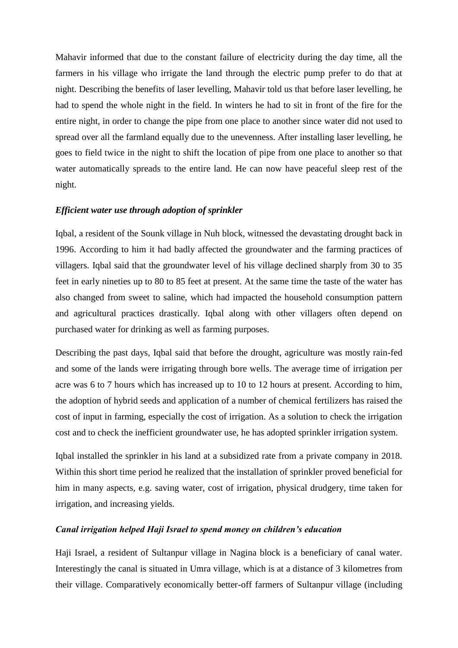Mahavir informed that due to the constant failure of electricity during the day time, all the farmers in his village who irrigate the land through the electric pump prefer to do that at night. Describing the benefits of laser levelling, Mahavir told us that before laser levelling, he had to spend the whole night in the field. In winters he had to sit in front of the fire for the entire night, in order to change the pipe from one place to another since water did not used to spread over all the farmland equally due to the unevenness. After installing laser levelling, he goes to field twice in the night to shift the location of pipe from one place to another so that water automatically spreads to the entire land. He can now have peaceful sleep rest of the night.

## *Efficient water use through adoption of sprinkler*

Iqbal, a resident of the Sounk village in Nuh block, witnessed the devastating drought back in 1996. According to him it had badly affected the groundwater and the farming practices of villagers. Iqbal said that the groundwater level of his village declined sharply from 30 to 35 feet in early nineties up to 80 to 85 feet at present. At the same time the taste of the water has also changed from sweet to saline, which had impacted the household consumption pattern and agricultural practices drastically. Iqbal along with other villagers often depend on purchased water for drinking as well as farming purposes.

Describing the past days, Iqbal said that before the drought, agriculture was mostly rain-fed and some of the lands were irrigating through bore wells. The average time of irrigation per acre was 6 to 7 hours which has increased up to 10 to 12 hours at present. According to him, the adoption of hybrid seeds and application of a number of chemical fertilizers has raised the cost of input in farming, especially the cost of irrigation. As a solution to check the irrigation cost and to check the inefficient groundwater use, he has adopted sprinkler irrigation system.

Iqbal installed the sprinkler in his land at a subsidized rate from a private company in 2018. Within this short time period he realized that the installation of sprinkler proved beneficial for him in many aspects, e.g. saving water, cost of irrigation, physical drudgery, time taken for irrigation, and increasing yields.

#### *Canal irrigation helped Haji Israel to spend money on children's education*

Haji Israel, a resident of Sultanpur village in Nagina block is a beneficiary of canal water. Interestingly the canal is situated in Umra village, which is at a distance of 3 kilometres from their village. Comparatively economically better-off farmers of Sultanpur village (including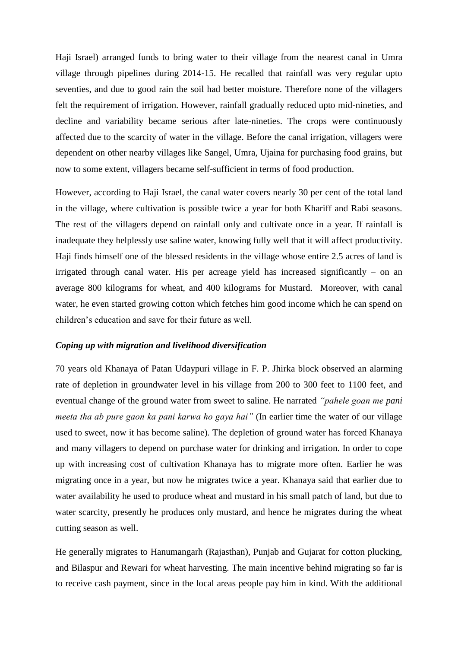Haji Israel) arranged funds to bring water to their village from the nearest canal in Umra village through pipelines during 2014-15. He recalled that rainfall was very regular upto seventies, and due to good rain the soil had better moisture. Therefore none of the villagers felt the requirement of irrigation. However, rainfall gradually reduced upto mid-nineties, and decline and variability became serious after late-nineties. The crops were continuously affected due to the scarcity of water in the village. Before the canal irrigation, villagers were dependent on other nearby villages like Sangel, Umra, Ujaina for purchasing food grains, but now to some extent, villagers became self-sufficient in terms of food production.

However, according to Haji Israel, the canal water covers nearly 30 per cent of the total land in the village, where cultivation is possible twice a year for both Khariff and Rabi seasons. The rest of the villagers depend on rainfall only and cultivate once in a year. If rainfall is inadequate they helplessly use saline water, knowing fully well that it will affect productivity. Haji finds himself one of the blessed residents in the village whose entire 2.5 acres of land is irrigated through canal water. His per acreage yield has increased significantly – on an average 800 kilograms for wheat, and 400 kilograms for Mustard. Moreover, with canal water, he even started growing cotton which fetches him good income which he can spend on children's education and save for their future as well.

#### *Coping up with migration and livelihood diversification*

70 years old Khanaya of Patan Udaypuri village in F. P. Jhirka block observed an alarming rate of depletion in groundwater level in his village from 200 to 300 feet to 1100 feet, and eventual change of the ground water from sweet to saline. He narrated *"pahele goan me pani meeta tha ab pure gaon ka pani karwa ho gaya hai"* (In earlier time the water of our village used to sweet, now it has become saline)*.* The depletion of ground water has forced Khanaya and many villagers to depend on purchase water for drinking and irrigation. In order to cope up with increasing cost of cultivation Khanaya has to migrate more often. Earlier he was migrating once in a year, but now he migrates twice a year. Khanaya said that earlier due to water availability he used to produce wheat and mustard in his small patch of land, but due to water scarcity, presently he produces only mustard, and hence he migrates during the wheat cutting season as well.

He generally migrates to Hanumangarh (Rajasthan), Punjab and Gujarat for cotton plucking, and Bilaspur and Rewari for wheat harvesting. The main incentive behind migrating so far is to receive cash payment, since in the local areas people pay him in kind. With the additional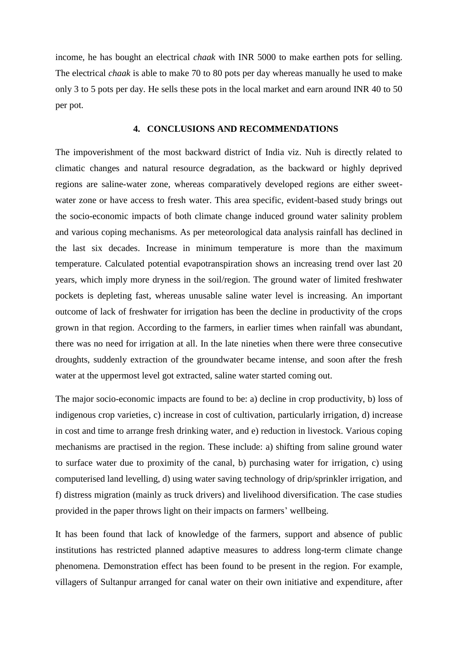income, he has bought an electrical *chaak* with INR 5000 to make earthen pots for selling. The electrical *chaak* is able to make 70 to 80 pots per day whereas manually he used to make only 3 to 5 pots per day. He sells these pots in the local market and earn around INR 40 to 50 per pot.

#### **4. CONCLUSIONS AND RECOMMENDATIONS**

The impoverishment of the most backward district of India viz. Nuh is directly related to climatic changes and natural resource degradation, as the backward or highly deprived regions are saline-water zone, whereas comparatively developed regions are either sweetwater zone or have access to fresh water. This area specific, evident-based study brings out the socio-economic impacts of both climate change induced ground water salinity problem and various coping mechanisms. As per meteorological data analysis rainfall has declined in the last six decades. Increase in minimum temperature is more than the maximum temperature. Calculated potential evapotranspiration shows an increasing trend over last 20 years, which imply more dryness in the soil/region. The ground water of limited freshwater pockets is depleting fast, whereas unusable saline water level is increasing. An important outcome of lack of freshwater for irrigation has been the decline in productivity of the crops grown in that region. According to the farmers, in earlier times when rainfall was abundant, there was no need for irrigation at all. In the late nineties when there were three consecutive droughts, suddenly extraction of the groundwater became intense, and soon after the fresh water at the uppermost level got extracted, saline water started coming out.

The major socio-economic impacts are found to be: a) decline in crop productivity, b) loss of indigenous crop varieties, c) increase in cost of cultivation, particularly irrigation, d) increase in cost and time to arrange fresh drinking water, and e) reduction in livestock. Various coping mechanisms are practised in the region. These include: a) shifting from saline ground water to surface water due to proximity of the canal, b) purchasing water for irrigation, c) using computerised land levelling, d) using water saving technology of drip/sprinkler irrigation, and f) distress migration (mainly as truck drivers) and livelihood diversification. The case studies provided in the paper throws light on their impacts on farmers' wellbeing.

It has been found that lack of knowledge of the farmers, support and absence of public institutions has restricted planned adaptive measures to address long-term climate change phenomena. Demonstration effect has been found to be present in the region. For example, villagers of Sultanpur arranged for canal water on their own initiative and expenditure, after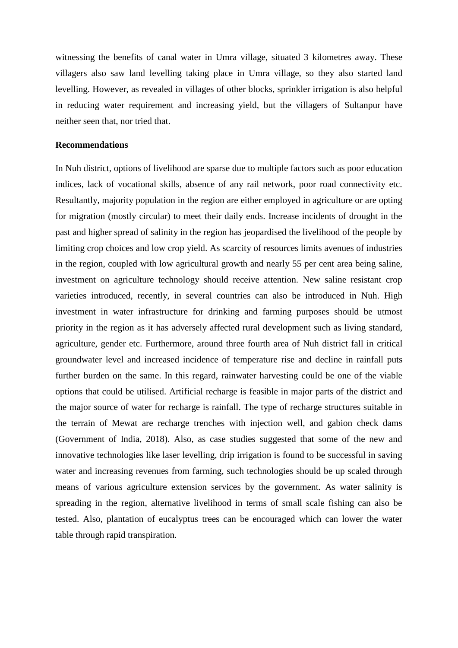witnessing the benefits of canal water in Umra village, situated 3 kilometres away. These villagers also saw land levelling taking place in Umra village, so they also started land levelling. However, as revealed in villages of other blocks, sprinkler irrigation is also helpful in reducing water requirement and increasing yield, but the villagers of Sultanpur have neither seen that, nor tried that.

#### **Recommendations**

In Nuh district, options of livelihood are sparse due to multiple factors such as poor education indices, lack of vocational skills, absence of any rail network, poor road connectivity etc. Resultantly, majority population in the region are either employed in agriculture or are opting for migration (mostly circular) to meet their daily ends. Increase incidents of drought in the past and higher spread of salinity in the region has jeopardised the livelihood of the people by limiting crop choices and low crop yield. As scarcity of resources limits avenues of industries in the region, coupled with low agricultural growth and nearly 55 per cent area being saline, investment on agriculture technology should receive attention. New saline resistant crop varieties introduced, recently, in several countries can also be introduced in Nuh. High investment in water infrastructure for drinking and farming purposes should be utmost priority in the region as it has adversely affected rural development such as living standard, agriculture, gender etc. Furthermore, around three fourth area of Nuh district fall in critical groundwater level and increased incidence of temperature rise and decline in rainfall puts further burden on the same. In this regard, rainwater harvesting could be one of the viable options that could be utilised. Artificial recharge is feasible in major parts of the district and the major source of water for recharge is rainfall. The type of recharge structures suitable in the terrain of Mewat are recharge trenches with injection well, and gabion check dams (Government of India, 2018). Also, as case studies suggested that some of the new and innovative technologies like laser levelling, drip irrigation is found to be successful in saving water and increasing revenues from farming, such technologies should be up scaled through means of various agriculture extension services by the government. As water salinity is spreading in the region, alternative livelihood in terms of small scale fishing can also be tested. Also, plantation of eucalyptus trees can be encouraged which can lower the water table through rapid transpiration.